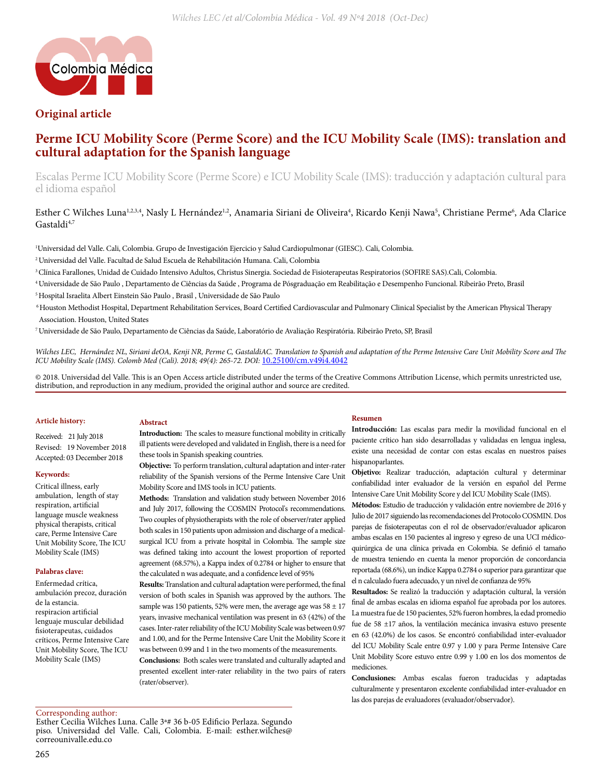

# **Original article**

# **Perme ICU Mobility Score (Perme Score) and the ICU Mobility Scale (IMS): translation and cultural adaptation for the Spanish language**

Escalas Perme ICU Mobility Score (Perme Score) e ICU Mobility Scale (IMS): traducción y adaptación cultural para el idioma español

Esther C Wilches Luna½23,4, Nasly L Hernández½, Anamaria Siriani de Oliveira4, Ricardo Kenji Nawa5, Christiane Perme6, Ada Clarice Gastaldi<sup>4,7</sup>

1 Universidad del Valle. Cali, Colombia. Grupo de Investigación Ejercicio y Salud Cardiopulmonar (GIESC). Cali, Colombia.

2 Universidad del Valle. Facultad de Salud Escuela de Rehabilitación Humana. Cali, Colombia

3 Clínica Farallones, Unidad de Cuidado Intensivo Adultos, Christus Sinergia. Sociedad de Fisioterapeutas Respiratorios (SOFIRE SAS).Cali, Colombia.

4 Universidade de São Paulo , Departamento de Ciências da Saúde , Programa de Pósgraduação em Reabilitação e Desempenho Funcional. Ribeirão Preto, Brasil 5 Hospital Israelita Albert Einstein São Paulo , Brasil , Universidade de São Paulo

 6 Houston Methodist Hospital, Department Rehabilitation Services, Board Certified Cardiovascular and Pulmonary Clinical Specialist by the American Physical Therapy Association. Houston, United States

7 Universidade de São Paulo, Departamento de Ciências da Saúde, Laboratório de Avaliação Respiratória. Ribeirão Preto, SP, Brasil

*Wilches LEC, Hernández NL, Siriani deOA, Kenji NR, Perme C, GastaldiAC. Translation to Spanish and adaptation of the Perme Intensive Care Unit Mobility Score and The ICU Mobility Scale (IMS). Colomb Med (Cali). 2018; 49(4): 265-72. DOI:* 10.25100/cm.v4914.4042

© 2018. Universidad del Valle. This is an Open Access article distributed under the terms of the Creative Commons Attribution License, which permits unrestricted use, distribution, and reproduction in any medium, provided the original author and source are credited.

#### **Article history:**

Received: 21 July 2018 Revised: 19 November 2018 Accepted: 03 December 2018

#### **Keywords:**

Critical illness, early ambulation, length of stay respiration, artificial language muscle weakness physical therapists, critical care, Perme Intensive Care Unit Mobility Score, The ICU Mobility Scale (IMS)

#### **Palabras clave:**

Enfermedad crítica, ambulación precoz, duración de la estancia. respiracion artificial lenguaje muscular debilidad fisioterapeutas, cuidados críticos, Perme Intensive Care Unit Mobility Score, The ICU Mobility Scale (IMS)

#### **Abstract**

**Introduction:** The scales to measure functional mobility in critically ill patients were developed and validated in English, there is a need for these tools in Spanish speaking countries.

**Objective:** To perform translation, cultural adaptation and inter-rater reliability of the Spanish versions of the Perme Intensive Care Unit Mobility Score and IMS tools in ICU patients.

**Methods:** Translation and validation study between November 2016 and July 2017, following the COSMIN Protocol's recommendations. Two couples of physiotherapists with the role of observer/rater applied both scales in 150 patients upon admission and discharge of a medicalsurgical ICU from a private hospital in Colombia. The sample size was defined taking into account the lowest proportion of reported agreement (68.57%), a Kappa index of 0.2784 or higher to ensure that the calculated n was adequate, and a confidence level of 95%

**Results:** Translation and cultural adaptation were performed, the final version of both scales in Spanish was approved by the authors. The sample was 150 patients, 52% were men, the average age was  $58 \pm 17$ years, invasive mechanical ventilation was present in 63 (42%) of the cases. Inter-rater reliability of the ICU Mobility Scale was between 0.97 and 1.00, and for the Perme Intensive Care Unit the Mobility Score it was between 0.99 and 1 in the two moments of the measurements.

**Conclusions:** Both scales were translated and culturally adapted and presented excellent inter-rater reliability in the two pairs of raters (rater/observer).

#### **Resumen**

**Introducción:** Las escalas para medir la movilidad funcional en el paciente crítico han sido desarrolladas y validadas en lengua inglesa, existe una necesidad de contar con estas escalas en nuestros países hispanoparlantes.

**Objetivo:** Realizar traducción, adaptación cultural y determinar confiabilidad inter evaluador de la versión en español del Perme Intensive Care Unit Mobility Score y del ICU Mobility Scale (IMS).

**Métodos:** Estudio de traducción y validación entre noviembre de 2016 y Julio de 2017 siguiendo las recomendaciones del Protocolo COSMIN. Dos parejas de fisioterapeutas con el rol de observador/evaluador aplicaron ambas escalas en 150 pacientes al ingreso y egreso de una UCI médicoquirúrgica de una clínica privada en Colombia. Se definió el tamaño de muestra teniendo en cuenta la menor proporción de concordancia reportada (68.6%), un índice Kappa 0.2784 o superior para garantizar que el n calculado fuera adecuado, y un nivel de confianza de 95%

**Resultados:** Se realizó la traducción y adaptación cultural, la versión final de ambas escalas en idioma español fue aprobada por los autores. La muestra fue de 150 pacientes, 52% fueron hombres, la edad promedio fue de 58 ±17 años, la ventilación mecánica invasiva estuvo presente en 63 (42.0%) de los casos. Se encontró confiabilidad inter-evaluador del ICU Mobility Scale entre 0.97 y 1.00 y para Perme Intensive Care Unit Mobility Score estuvo entre 0.99 y 1.00 en los dos momentos de mediciones.

**Conclusiones:** Ambas escalas fueron traducidas y adaptadas culturalmente y presentaron excelente confiabilidad inter-evaluador en las dos parejas de evaluadores (evaluador/observador).

#### Corresponding author:

Esther Cecilia Wilches Luna. Calle 3ª# 36 b-05 Edificio Perlaza. Segundo piso. Universidad del Valle. Cali, Colombia. E-mail: esther.wilches@ correounivalle.edu.co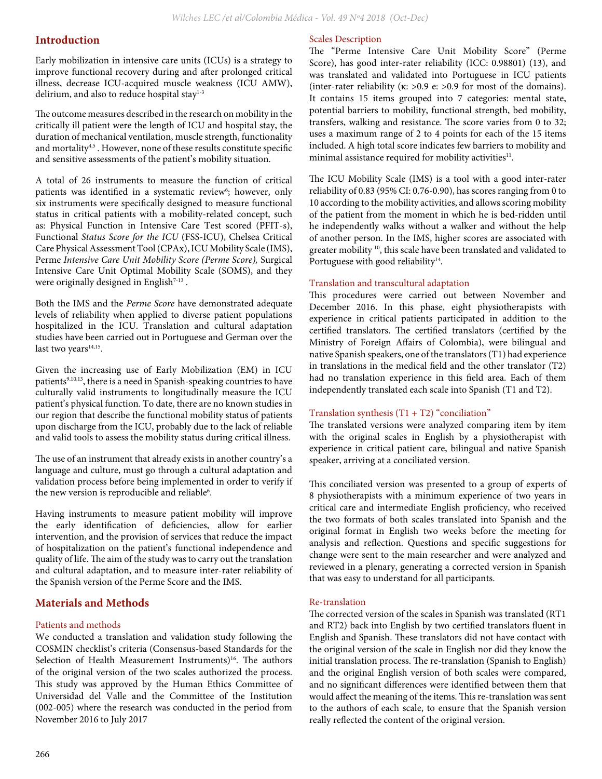# **Introduction**

Early mobilization in intensive care units (ICUs) is a strategy to improve functional recovery during and after prolonged critical illness, decrease ICU-acquired muscle weakness (ICU AMW), delirium, and also to reduce hospital stay<sup>1[-3](https://www.ncbi.nlm.nih.gov/pmc/tools/article-previewer/articles/instance/1668766/#B3)</sup>

The outcome measures described in the research on mobility in the critically ill patient were the length of ICU and hospital stay, the duration of mechanical ventilation, muscle strength, functionality and mortality<sup>4[,5](https://www.ncbi.nlm.nih.gov/pmc/tools/article-previewer/articles/instance/1668766/#B5)</sup>. However, none of these results constitute specific and sensitive assessments of the patient's mobility situation.

A total of 26 instruments to measure the function of critical patients was identified in a systematic review<sup>6</sup>; however, only six instruments were specifically designed to measure functional status in critical patients with a mobility-related concept, such as: Physical Function in Intensive Care Test scored (PFIT-s), Functional *Status Score for the ICU* (FSS-ICU), Chelsea Critical Care Physical Assessment Tool (CPAx), ICU Mobility Scale (IMS), Perme *Intensive Care Unit Mobility Score (Perme Score),* Surgical Intensive Care Unit Optimal Mobility Scale (SOMS), and they were originally designed in English $7-13$ .

Both the IMS and the *Perme Score* have demonstrated adequate levels of reliability when applied to diverse patient populations hospitalized in the ICU. Translation and cultural adaptation studies have been carried out in Portuguese and German over the last two years<sup>[14](https://www.ncbi.nlm.nih.gov/pmc/tools/article-previewer/articles/instance/1668766/#B14),[15](https://www.ncbi.nlm.nih.gov/pmc/tools/article-previewer/articles/instance/1668766/#B15)</sup>.

Given the increasing use of Early Mobilization (EM) in ICU patients<sup>[9,](https://www.ncbi.nlm.nih.gov/pmc/tools/article-previewer/articles/instance/1668766/#B9)[10,](https://www.ncbi.nlm.nih.gov/pmc/tools/article-previewer/articles/instance/1668766/#B10)[13](https://www.ncbi.nlm.nih.gov/pmc/tools/article-previewer/articles/instance/1668766/#B13)</sup>, there is a need in Spanish-speaking countries to have culturally valid instruments to longitudinally measure the ICU patient's physical function. To date, there are no known studies in our region that describe the functional mobility status of patients upon discharge from the ICU, probably due to the lack of reliable and valid tools to assess the mobility status during critical illness.

The use of an instrument that already exists in another country's a language and culture, must go through a cultural adaptation and validation process before being implemented in order to verify if the new version is reproducible and reliable<sup>[6](https://www.ncbi.nlm.nih.gov/pmc/tools/article-previewer/articles/instance/1668766/#B6)</sup>.

Having instruments to measure patient mobility will improve the early identification of deficiencies, allow for earlier intervention, and the provision of services that reduce the impact of hospitalization on the patient's functional independence and quality of life. The aim of the study was to carry out the translation and cultural adaptation, and to measure inter-rater reliability of the Spanish version of the Perme Score and the IMS.

### **Materials and Methods**

### Patients and methods

We conducted a translation and validation study following the COSMIN checklist's criteria (Consensus-based Standards for the Selection of Health Measurement Instruments)<sup>[16](https://www.ncbi.nlm.nih.gov/pmc/tools/article-previewer/articles/instance/1668766/#B16)</sup>. The authors of the original version of the two scales authorized the process. This study was approved by the Human Ethics Committee of Universidad del Valle and the Committee of the Institution (002-005) where the research was conducted in the period from November 2016 to July 2017

### Scales Description

The "Perme Intensive Care Unit Mobility Score" (Perme Score), has good inter-rater reliability (ICC: 0.98801) (13), and was translated and validated into Portuguese in ICU patients (inter-rater reliability (κ: >0.9 e: >0.9 for most of the domains). It contains 15 items grouped into 7 categories: mental state, potential barriers to mobility, functional strength, bed mobility, transfers, walking and resistance. The score varies from 0 to 32; uses a maximum range of 2 to 4 points for each of the 15 items included. A high total score indicates few barriers to mobility and minimal assistance required for mobility activities<sup>[11](https://www.ncbi.nlm.nih.gov/pmc/tools/article-previewer/articles/instance/1668766/#B11)</sup>.

The ICU Mobility Scale (IMS) is a tool with a good inter-rater reliability of 0.83 (95% CI: 0.76-0.90), has scores ranging from 0 to 10 according to the mobility activities, and allows scoring mobility of the patient from the moment in which he is bed-ridden until he independently walks without a walker and without the help of another person. In the IMS, higher scores are associated with greater mobility<sup>[10](https://www.ncbi.nlm.nih.gov/pmc/tools/article-previewer/articles/instance/1668766/#B10)</sup>, this scale have been translated and validated to Portuguese with good reliability<sup>[14](https://www.ncbi.nlm.nih.gov/pmc/tools/article-previewer/articles/instance/1668766/#B14)</sup>.

### Translation and transcultural adaptation

This procedures were carried out between November and December 2016. In this phase, eight physiotherapists with experience in critical patients participated in addition to the certified translators. The certified translators (certified by the Ministry of Foreign Affairs of Colombia), were bilingual and native Spanish speakers, one of the translators (T1) had experience in translations in the medical field and the other translator (T2) had no translation experience in this field area. Each of them independently translated each scale into Spanish (T1 and T2).

### Translation synthesis  $(T1 + T2)$  "conciliation"

The translated versions were analyzed comparing item by item with the original scales in English by a physiotherapist with experience in critical patient care, bilingual and native Spanish speaker, arriving at a conciliated version.

This conciliated version was presented to a group of experts of 8 physiotherapists with a minimum experience of two years in critical care and intermediate English proficiency, who received the two formats of both scales translated into Spanish and the original format in English two weeks before the meeting for analysis and reflection. Questions and specific suggestions for change were sent to the main researcher and were analyzed and reviewed in a plenary, generating a corrected version in Spanish that was easy to understand for all participants.

#### Re-translation

The corrected version of the scales in Spanish was translated (RT1 and RT2) back into English by two certified translators fluent in English and Spanish. These translators did not have contact with the original version of the scale in English nor did they know the initial translation process. The re-translation (Spanish to English) and the original English version of both scales were compared, and no significant differences were identified between them that would affect the meaning of the items. This re-translation was sent to the authors of each scale, to ensure that the Spanish version really reflected the content of the original version.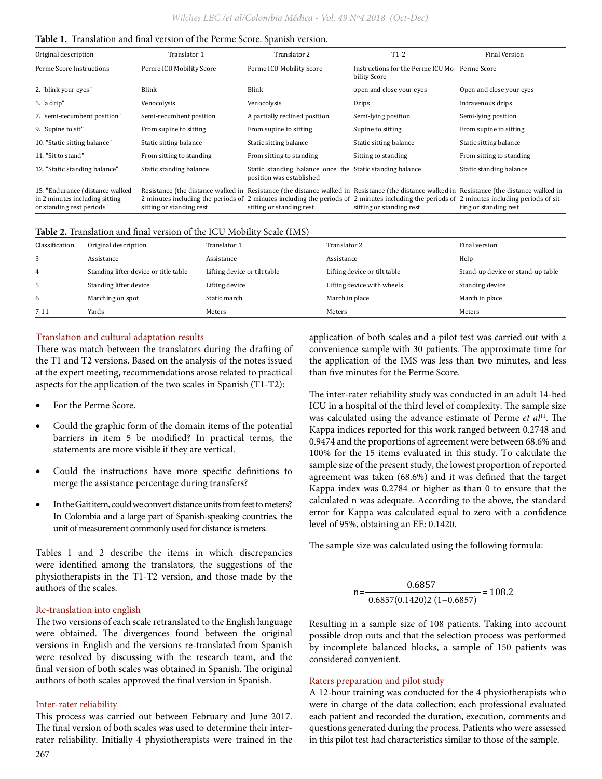#### **Table 1.** Translation and final version of the Perme Score. Spanish version.

| Original description                                                                           | Translator 1             | Translator 2                                                                         | $T1-2$                                                                                                                                                                                                                                                                                                                  | <b>Final Version</b>     |
|------------------------------------------------------------------------------------------------|--------------------------|--------------------------------------------------------------------------------------|-------------------------------------------------------------------------------------------------------------------------------------------------------------------------------------------------------------------------------------------------------------------------------------------------------------------------|--------------------------|
| Perme Score Instructions                                                                       | Perme ICU Mobility Score | Perme ICU Mobility Score                                                             | Instructions for the Perme ICU Mo- Perme Score<br>bility Score                                                                                                                                                                                                                                                          |                          |
| 2. "blink your eyes"                                                                           | Blink                    | Blink                                                                                | open and close your eyes                                                                                                                                                                                                                                                                                                | Open and close your eyes |
| 5. "a drip"                                                                                    | Venocolysis              | Venocolysis                                                                          | Drips                                                                                                                                                                                                                                                                                                                   | Intravenous drips        |
| 7. "semi-recumbent position"                                                                   | Semi-recumbent position  | A partially reclined position.                                                       | Semi-lying position                                                                                                                                                                                                                                                                                                     | Semi-lying position      |
| 9. "Supine to sit"                                                                             | From supine to sitting   | From supine to sitting                                                               | Supine to sitting                                                                                                                                                                                                                                                                                                       | From supine to sitting   |
| 10. "Static sitting balance"                                                                   | Static sitting balance   | Static sitting balance                                                               | Static sitting balance                                                                                                                                                                                                                                                                                                  | Static sitting balance   |
| 11. "Sit to stand"                                                                             | From sitting to standing | From sitting to standing                                                             | Sitting to standing                                                                                                                                                                                                                                                                                                     | From sitting to standing |
| 12. "Static standing balance"                                                                  | Static standing balance  | Static standing balance once the Static standing balance<br>position was established |                                                                                                                                                                                                                                                                                                                         | Static standing balance  |
| 15. "Endurance (distance walked<br>in 2 minutes including sitting<br>or standing rest periods" | sitting or standing rest | sitting or standing rest                                                             | Resistance (the distance walked in Resistance (the distance walked in Resistance (the distance walked in Resistance (the distance walked in<br>2 minutes including the periods of 2 minutes including the periods of 2 minutes including the periods of 2 minutes including periods of sit-<br>sitting or standing rest | ting or standing rest    |

### **Table 2.** Translation and final version of the ICU Mobility Scale (IMS)

| Classification | Original description                  | Translator 1                 | Translator 2                 | Final version                     |
|----------------|---------------------------------------|------------------------------|------------------------------|-----------------------------------|
| 3              | Assistance                            | Assistance                   | Assistance                   | Help                              |
| 4              | Standing lifter device or title table | Lifting device or tilt table | Lifting device or tilt table | Stand-up device or stand-up table |
| 5              | Standing lifter device                | Lifting device               | Lifting device with wheels   | Standing device                   |
| 6              | Marching on spot                      | Static march                 | March in place               | March in place                    |
| $7 - 11$       | Yards                                 | Meters                       | Meters                       | Meters                            |

#### Translation and cultural adaptation results

There was match between the translators during the drafting of the T1 and T2 versions. Based on the analysis of the notes issued at the expert meeting, recommendations arose related to practical aspects for the application of the two scales in Spanish (T1-T2):

- For the Perme Score.
- Could the graphic form of the domain items of the potential barriers in item 5 be modified? In practical terms, the statements are more visible if they are vertical.
- Could the instructions have more specific definitions to merge the assistance percentage during transfers?
- In the Gait item, could we convert distance units from feet to meters? In Colombia and a large part of Spanish-speaking countries, the unit of measurement commonly used for distance is meters.

[Tables 1](https://www.ncbi.nlm.nih.gov/pmc/tools/article-previewer/articles/instance/1668766/table/t1/) and 2 describe the items in which discrepancies were identified among the translators, the suggestions of the physiotherapists in the T1-T2 version, and those made by the authors of the scales.

### Re-translation into english

The two versions of each scale retranslated to the English language were obtained. The divergences found between the original versions in English and the versions re-translated from Spanish were resolved by discussing with the research team, and the final version of both scales was obtained in Spanish. The original authors of both scales approved the final version in Spanish.

#### Inter-rater reliability

This process was carried out between February and June 2017. The final version of both scales was used to determine their interrater reliability. Initially 4 physiotherapists were trained in the application of both scales and a pilot test was carried out with a convenience sample with 30 patients. The approximate time for the application of the IMS was less than two minutes, and less than five minutes for the Perme Score.

The inter-rater reliability study was conducted in an adult 14-bed ICU in a hospital of the third level of complexity. The sample size was calculated using the advance estimate of Perme et al<sup>[11](https://www.ncbi.nlm.nih.gov/pmc/tools/article-previewer/articles/instance/1668766/#B11)</sup>. The Kappa indices reported for this work ranged between 0.2748 and 0.9474 and the proportions of agreement were between 68.6% and 100% for the 15 items evaluated in this study. To calculate the sample size of the present study, the lowest proportion of reported agreement was taken (68.6%) and it was defined that the target Kappa index was 0.2784 or higher as than 0 to ensure that the calculated n was adequate. According to the above, the standard error for Kappa was calculated equal to zero with a confidence level of 95%, obtaining an EE: 0.1420.

The sample size was calculated using the following formula:

$$
n = \frac{0.6857}{0.6857(0.1420)2(1 - 0.6857)} = 108.2
$$

Resulting in a sample size of 108 patients. Taking into account possible drop outs and that the selection process was performed by incomplete balanced blocks, a sample of 150 patients was considered convenient.

### Raters preparation and pilot study

A 12-hour training was conducted for the 4 physiotherapists who were in charge of the data collection; each professional evaluated each patient and recorded the duration, execution, comments and questions generated during the process. Patients who were assessed in this pilot test had characteristics similar to those of the sample.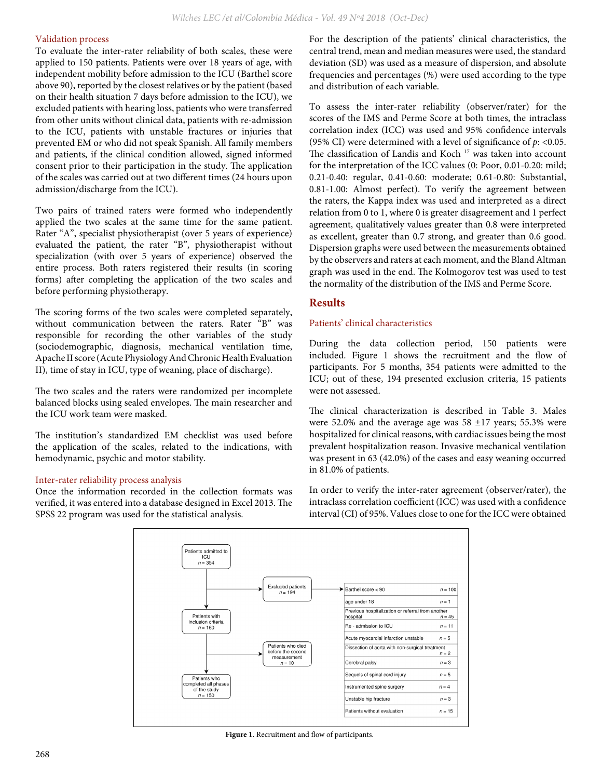### Validation process

To evaluate the inter-rater reliability of both scales, these were applied to 150 patients. Patients were over 18 years of age, with independent mobility before admission to the ICU (Barthel score above 90), reported by the closest relatives or by the patient (based on their health situation 7 days before admission to the ICU), we excluded patients with hearing loss, patients who were transferred from other units without clinical data, patients with re-admission to the ICU, patients with unstable fractures or injuries that prevented EM or who did not speak Spanish. All family members and patients, if the clinical condition allowed, signed informed consent prior to their participation in the study. The application of the scales was carried out at two different times (24 hours upon admission/discharge from the ICU).

Two pairs of trained raters were formed who independently applied the two scales at the same time for the same patient. Rater "A", specialist physiotherapist (over 5 years of experience) evaluated the patient, the rater "B", physiotherapist without specialization (with over 5 years of experience) observed the entire process. Both raters registered their results (in scoring forms) after completing the application of the two scales and before performing physiotherapy.

The scoring forms of the two scales were completed separately, without communication between the raters. Rater "B" was responsible for recording the other variables of the study (sociodemographic, diagnosis, mechanical ventilation time, Apache II score (Acute Physiology And Chronic Health Evaluation II), time of stay in ICU, type of weaning, place of discharge).

The two scales and the raters were randomized per incomplete balanced blocks using sealed envelopes. The main researcher and the ICU work team were masked.

The institution's standardized EM checklist was used before the application of the scales, related to the indications, with hemodynamic, psychic and motor stability.

### Inter-rater reliability process analysis

Once the information recorded in the collection formats was verified, it was entered into a database designed in Excel 2013. The SPSS 22 program was used for the statistical analysis.

For the description of the patients' clinical characteristics, the central trend, mean and median measures were used, the standard deviation (SD) was used as a measure of dispersion, and absolute frequencies and percentages (%) were used according to the type and distribution of each variable.

To assess the inter-rater reliability (observer/rater) for the scores of the IMS and Perme Score at both times, the intraclass correlation index (ICC) was used and 95% confidence intervals (95% CI) were determined with a level of significance of *p*: <0.05. The classification of Landis and Koch<sup>17</sup> was taken into account for the interpretation of the ICC values (0: Poor, 0.01-0.20: mild; 0.21-0.40: regular, 0.41-0.60: moderate; 0.61-0.80: Substantial, 0.81-1.00: Almost perfect). To verify the agreement between the raters, the Kappa index was used and interpreted as a direct relation from 0 to 1, where 0 is greater disagreement and 1 perfect agreement, qualitatively values greater than 0.8 were interpreted as excellent, greater than 0.7 strong, and greater than 0.6 good. Dispersion graphs were used between the measurements obtained by the observers and raters at each moment, and the Bland Altman graph was used in the end. The Kolmogorov test was used to test the normality of the distribution of the IMS and Perme Score.

# **Results**

## Patients' clinical characteristics

During the data collection period, 150 patients were included. [Figure 1](https://www.ncbi.nlm.nih.gov/pmc/tools/article-previewer/articles/instance/1668766/figure/f1/)  shows the recruitment and the flow of participants. For 5 months, 354 patients were admitted to the ICU; out of these, 194 presented exclusion criteria, 15 patients were not assessed.

The clinical characterization is described in [Table 3](https://www.ncbi.nlm.nih.gov/pmc/tools/article-previewer/articles/instance/1668766/table/t3/). Males were 52.0% and the average age was 58 ±17 years; 55.3% were hospitalized for clinical reasons, with cardiac issues being the most prevalent hospitalization reason. Invasive mechanical ventilation was present in 63 (42.0%) of the cases and easy weaning occurred in 81.0% of patients.

In order to verify the inter-rater agreement (observer/rater), the intraclass correlation coefficient (ICC) was used with a confidence interval (CI) of 95%. Values close to one for the ICC were obtained



**[Figure 1.](https://www.ncbi.nlm.nih.gov/pmc/tools/article-previewer/articles/instance/1668766/figure/f1/)** Recruitment and flow of participants.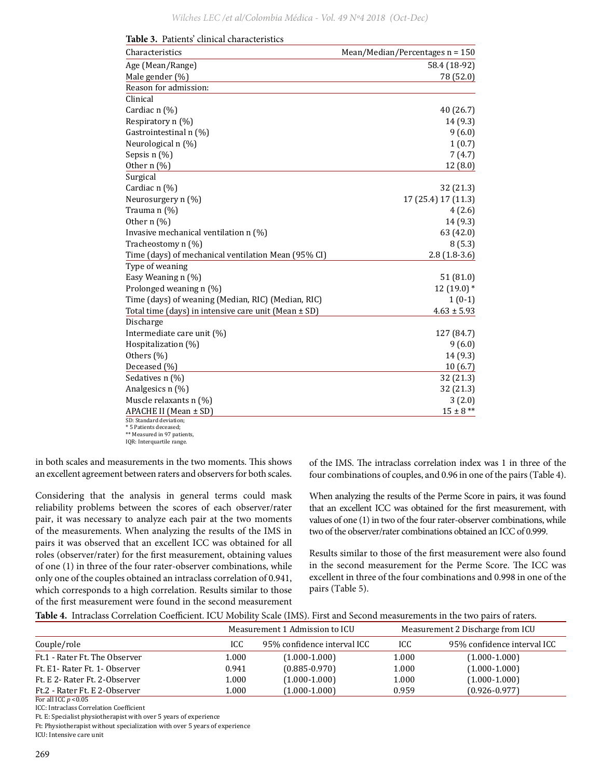| Characteristics                                      | Mean/Median/Percentages $n = 150$ |
|------------------------------------------------------|-----------------------------------|
| Age (Mean/Range)                                     | 58.4 (18-92)                      |
| Male gender (%)                                      | 78 (52.0)                         |
| Reason for admission:                                |                                   |
| Clinical                                             |                                   |
| Cardiac n (%)                                        | 40 (26.7)                         |
| Respiratory n (%)                                    | 14 (9.3)                          |
| Gastrointestinal n (%)                               | 9(6.0)                            |
| Neurological n (%)                                   | 1(0.7)                            |
| Sepsis n (%)                                         | 7(4.7)                            |
| Other n (%)                                          | 12(8.0)                           |
| Surgical                                             |                                   |
| Cardiac n (%)                                        | 32 (21.3)                         |
| Neurosurgery n (%)                                   | 17 (25.4) 17 (11.3)               |
| Trauma n (%)                                         | 4(2.6)                            |
| Other n (%)                                          | 14(9.3)                           |
| Invasive mechanical ventilation n (%)                | 63 (42.0)                         |
| Tracheostomy n (%)                                   | 8(5.3)                            |
| Time (days) of mechanical ventilation Mean (95% CI)  | $2.8(1.8-3.6)$                    |
| Type of weaning                                      |                                   |
| Easy Weaning n (%)                                   | 51 (81.0)                         |
| Prolonged weaning n (%)                              | 12 (19.0) *                       |
| Time (days) of weaning (Median, RIC) (Median, RIC)   | $1(0-1)$                          |
| Total time (days) in intensive care unit (Mean ± SD) | $4.63 \pm 5.93$                   |
| Discharge                                            |                                   |
| Intermediate care unit (%)                           | 127 (84.7)                        |
| Hospitalization (%)                                  | 9(6.0)                            |
| Others (%)                                           | 14(9.3)                           |
| Deceased (%)                                         | 10(6.7)                           |
| Sedatives n (%)                                      | 32 (21.3)                         |
| Analgesics n (%)                                     | 32 (21.3)                         |
| Muscle relaxants n (%)                               | 3(2.0)                            |
| APACHE II (Mean ± SD)                                | $15 \pm 8$ **                     |

**Table 3.** Patients' clinical characteristics

SD: Standard deviation; \* 5 Patients deceased;

\*\* Measured in 97 patients, IQR: Interquartile range.

in both scales and measurements in the two moments. This shows an excellent agreement between raters and observers for both scales.

Considering that the analysis in general terms could mask reliability problems between the scores of each observer/rater pair, it was necessary to analyze each pair at the two moments of the measurements. When analyzing the results of the IMS in pairs it was observed that an excellent ICC was obtained for all roles (observer/rater) for the first measurement, obtaining values of one (1) in three of the four rater-observer combinations, while only one of the couples obtained an intraclass correlation of 0.941, which corresponds to a high correlation. Results similar to those of the first measurement were found in the second measurement

of the IMS. The intraclass correlation index was 1 in three of the four combinations of couples, and 0.96 in one of the pairs ([Table 4](https://www.ncbi.nlm.nih.gov/pmc/tools/article-previewer/articles/instance/1668766/table/t4/)).

When analyzing the results of the Perme Score in pairs, it was found that an excellent ICC was obtained for the first measurement, with values of one (1) in two of the four rater-observer combinations, while two of the observer/rater combinations obtained an ICC of 0.999.

Results similar to those of the first measurement were also found in the second measurement for the Perme Score. The ICC was excellent in three of the four combinations and 0.998 in one of the pairs [\(Table 5\)](https://www.ncbi.nlm.nih.gov/pmc/tools/article-previewer/articles/instance/1668766/table/t5/).

|  | Table 4. Intraclass Correlation Coefficient. ICU Mobility Scale (IMS). First and Second measurements in the two pairs of raters. |  |  |  |  |  |
|--|----------------------------------------------------------------------------------------------------------------------------------|--|--|--|--|--|
|--|----------------------------------------------------------------------------------------------------------------------------------|--|--|--|--|--|

|                               |       | Measurement 1 Admission to ICU | Measurement 2 Discharge from ICU |                             |  |
|-------------------------------|-------|--------------------------------|----------------------------------|-----------------------------|--|
| Couple/role                   | ICC   | 95% confidence interval ICC    |                                  | 95% confidence interval ICC |  |
| Ft.1 - Rater Ft. The Observer | 1.000 | $(1.000 - 1.000)$              | 1.000                            | $(1.000 - 1.000)$           |  |
| Ft. E1- Rater Ft. 1- Observer | 0.941 | $(0.885 - 0.970)$              | 1.000                            | $(1.000 - 1.000)$           |  |
| Ft. E 2- Rater Ft. 2-Observer | 1.000 | $(1.000 - 1.000)$              | 1.000                            | $(1.000 - 1.000)$           |  |
| Ft.2 - Rater Ft. E 2-Observer | 1.000 | $(1.000 - 1.000)$              | 0.959                            | $(0.926 - 0.977)$           |  |

For all ICC *p* <0.05

ICC: Intraclass Correlation Coefficient

Ft. E: Specialist physiotherapist with over 5 years of experience

Ft: Physiotherapist without specialization with over 5 years of experience

ICU: Intensive care unit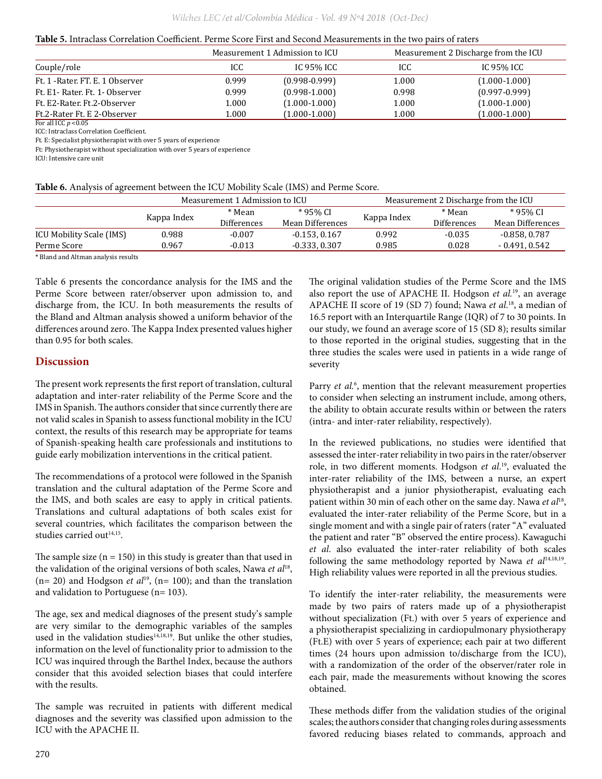|--|

|                                  |       | Measurement 1 Admission to ICU |            | Measurement 2 Discharge from the ICU |
|----------------------------------|-------|--------------------------------|------------|--------------------------------------|
| Couple/role                      | ICC   | IC 95% ICC                     | <b>ICC</b> | IC 95% ICC                           |
| Ft. 1 - Rater. FT. E. 1 Observer | 0.999 | $(0.998 - 0.999)$              | 1.000      | $(1.000 - 1.000)$                    |
| Ft. E1- Rater. Ft. 1- Observer   | 0.999 | $(0.998 - 1.000)$              | 0.998      | $(0.997 - 0.999)$                    |
| Ft. E2-Rater. Ft.2-Observer      | 1.000 | $(1.000 - 1.000)$              | 1.000      | $(1.000 - 1.000)$                    |
| Ft.2-Rater Ft. E 2-Observer      | 1.000 | $(1.000 - 1.000)$              | 1.000      | $(1.000 - 1.000)$                    |

For all ICC *p* <0.05 ICC: Intraclass Correlation Coefficient.

Ft. E: Specialist physiotherapist with over 5 years of experience

Ft: Physiotherapist without specialization with over 5 years of experience

ICU: Intensive care unit

|  |  |  |  | Table 6. Analysis of agreement between the ICU Mobility Scale (IMS) and Perme Score. |
|--|--|--|--|--------------------------------------------------------------------------------------|
|--|--|--|--|--------------------------------------------------------------------------------------|

|                          | Measurement 1 Admission to ICU |                    |                  | Measurement 2 Discharge from the ICU |                    |                  |
|--------------------------|--------------------------------|--------------------|------------------|--------------------------------------|--------------------|------------------|
|                          | Kappa Index                    | * Mean             | * 95% CI         | Kappa Index                          | * Mean             | * 95% CI         |
|                          |                                | <b>Differences</b> | Mean Differences |                                      | <b>Differences</b> | Mean Differences |
| ICU Mobility Scale (IMS) | 0.988                          | -0.007             | $-0.153, 0.167$  | 0.992                                | $-0.035$           | $-0.858, 0.787$  |
| Perme Score              | 0.967                          | $-0.013$           | $-0.333, 0.307$  | 0.985                                | 0.028              | $-0.491, 0.542$  |

\* Bland and Altman analysis results

[Table 6](https://www.ncbi.nlm.nih.gov/pmc/tools/article-previewer/articles/instance/1668766/table/t6/)  presents the concordance analysis for the IMS and the Perme Score between rater/observer upon admission to, and discharge from, the ICU. In both measurements the results of the Bland and Altman analysis showed a uniform behavior of the differences around zero. The Kappa Index presented values higher than 0.95 for both scales.

# **Discussion**

The present work represents the first report of translation, cultural adaptation and inter-rater reliability of the Perme Score and the IMS in Spanish. The authors consider that since currently there are not valid scales in Spanish to assess functional mobility in the ICU context, the results of this research may be appropriate for teams of Spanish-speaking health care professionals and institutions to guide early mobilization interventions in the critical patient.

The recommendations of a protocol were followed in the Spanish translation and the cultural adaptation of the Perme Score and the IMS, and both scales are easy to apply in critical patients. Translations and cultural adaptations of both scales exist for several countries, which facilitates the comparison between the studies carried out<sup>14,15</sup>.

The sample size  $(n = 150)$  in this study is greater than that used in the validation of the original versions of both scales, Nawa *et al*[18](https://www.ncbi.nlm.nih.gov/pmc/tools/article-previewer/articles/instance/1668766/#B18), ( $n= 20$ ) and Hodgson *et al*<sup>19</sup>, ( $n= 100$ ); and than the translation and validation to Portuguese (n= 103).

The age, sex and medical diagnoses of the present study's sample are very similar to the demographic variables of the samples used in the validation studies<sup>14,[18,](https://www.ncbi.nlm.nih.gov/pmc/tools/article-previewer/articles/instance/1668766/#B18)19</sup>. But unlike the other studies, information on the level of functionality prior to admission to the ICU was inquired through the Barthel Index, because the authors consider that this avoided selection biases that could interfere with the results.

The sample was recruited in patients with different medical diagnoses and the severity was classified upon admission to the ICU with the APACHE II.

The original validation studies of the Perme Score and the IMS also report the use of APACHE II. Hodgson et al.<sup>19</sup>, an average APACHE II score of 19 (SD 7) found; Nawa et al.<sup>18</sup>, a median of 16.5 report with an Interquartile Range (IQR) of 7 to 30 points. In our study, we found an average score of 15 (SD 8); results similar to those reported in the original studies, suggesting that in the three studies the scales were used in patients in a wide range of severity

Parry *et al.*<sup>[6](https://www.ncbi.nlm.nih.gov/pmc/tools/article-previewer/articles/instance/1668766/#B6)</sup>, mention that the relevant measurement properties to consider when selecting an instrument include, among others, the ability to obtain accurate results within or between the raters (intra- and inter-rater reliability, respectively).

In the reviewed publications, no studies were identified that assessed the inter-rater reliability in two pairs in the rater/observer role, in two different moments. Hodgson *et al*. [19,](https://www.ncbi.nlm.nih.gov/pmc/tools/article-previewer/articles/instance/1668766/#B19) evaluated the inter-rater reliability of the IMS, between a nurse, an expert physiotherapist and a junior physiotherapist, evaluating each patient within 30 min of each other on the same day. Nawa *et al*[18,](https://www.ncbi.nlm.nih.gov/pmc/tools/article-previewer/articles/instance/1668766/#B18) evaluated the inter-rater reliability of the Perme Score, but in a single moment and with a single pair of raters (rater "A" evaluated the patient and rater "B" observed the entire process). Kawaguchi *et al*. also evaluated the inter-rater reliability of both scales following the same methodology reported by Nawa et al<sup>[14](https://www.ncbi.nlm.nih.gov/pmc/tools/article-previewer/articles/instance/1668766/#B14)[,18,](https://www.ncbi.nlm.nih.gov/pmc/tools/article-previewer/articles/instance/1668766/#B18)19</sup>. High reliability values were reported in all the previous studies.

To identify the inter-rater reliability, the measurements were made by two pairs of raters made up of a physiotherapist without specialization (Ft.) with over 5 years of experience and a physiotherapist specializing in cardiopulmonary physiotherapy (Ft.E) with over 5 years of experience; each pair at two different times (24 hours upon admission to/discharge from the ICU), with a randomization of the order of the observer/rater role in each pair, made the measurements without knowing the scores obtained.

These methods differ from the validation studies of the original scales; the authors consider that changing roles during assessments favored reducing biases related to commands, approach and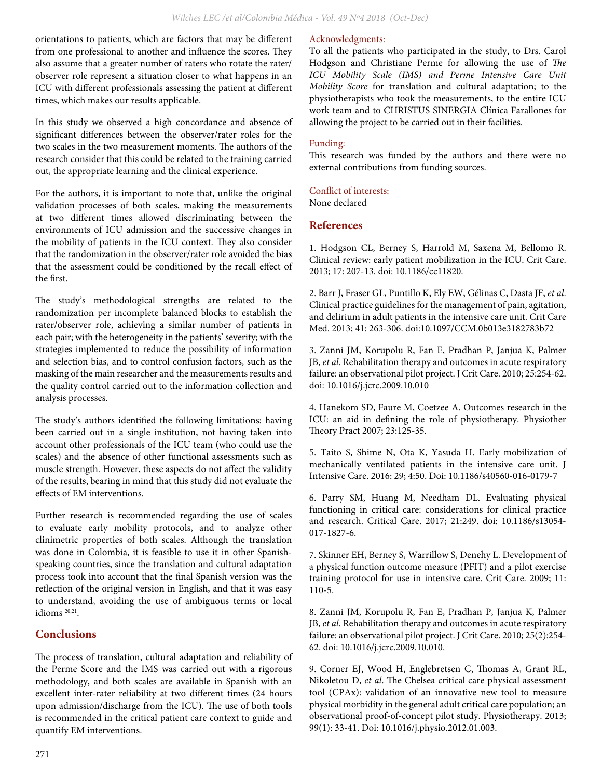orientations to patients, which are factors that may be different from one professional to another and influence the scores. They also assume that a greater number of raters who rotate the rater/ observer role represent a situation closer to what happens in an ICU with different professionals assessing the patient at different times, which makes our results applicable.

In this study we observed a high concordance and absence of significant differences between the observer/rater roles for the two scales in the two measurement moments. The authors of the research consider that this could be related to the training carried out, the appropriate learning and the clinical experience.

For the authors, it is important to note that, unlike the original validation processes of both scales, making the measurements at two different times allowed discriminating between the environments of ICU admission and the successive changes in the mobility of patients in the ICU context. They also consider that the randomization in the observer/rater role avoided the bias that the assessment could be conditioned by the recall effect of the first.

The study's methodological strengths are related to the randomization per incomplete balanced blocks to establish the rater/observer role, achieving a similar number of patients in each pair; with the heterogeneity in the patients' severity; with the strategies implemented to reduce the possibility of information and selection bias, and to control confusion factors, such as the masking of the main researcher and the measurements results and the quality control carried out to the information collection and analysis processes.

The study's authors identified the following limitations: having been carried out in a single institution, not having taken into account other professionals of the ICU team (who could use the scales) and the absence of other functional assessments such as muscle strength. However, these aspects do not affect the validity of the results, bearing in mind that this study did not evaluate the effects of EM interventions.

Further research is recommended regarding the use of scales to evaluate early mobility protocols, and to analyze other clinimetric properties of both scales. Although the translation was done in Colombia, it is feasible to use it in other Spanishspeaking countries, since the translation and cultural adaptation process took into account that the final Spanish version was the reflection of the original version in English, and that it was easy to understand, avoiding the use of ambiguous terms or local idioms [20](https://www.ncbi.nlm.nih.gov/pmc/tools/article-previewer/articles/instance/1668766/#B20),[21](https://www.ncbi.nlm.nih.gov/pmc/tools/article-previewer/articles/instance/1668766/#B21).

# **Conclusions**

The process of translation, cultural adaptation and reliability of the Perme Score and the IMS was carried out with a rigorous methodology, and both scales are available in Spanish with an excellent inter-rater reliability at two different times (24 hours upon admission/discharge from the ICU). The use of both tools is recommended in the critical patient care context to guide and quantify EM interventions.

# Acknowledgments:

To all the patients who participated in the study, to Drs. Carol Hodgson and Christiane Perme for allowing the use of *The ICU Mobility Scale (IMS) and Perme Intensive Care Unit Mobility Score* for translation and cultural adaptation; to the physiotherapists who took the measurements, to the entire ICU work team and to CHRISTUS SINERGIA Clínica Farallones for allowing the project to be carried out in their facilities.

# Funding:

This research was funded by the authors and there were no external contributions from funding sources.

# Conflict of interests:

None declared

# **References**

1. Hodgson CL, Berney S, Harrold M, Saxena M, Bellomo R. Clinical review: early patient mobilization in the ICU. Crit Care. 2013; 17: 207-13. doi: 10.1186/cc11820.

2. Barr J, Fraser GL, Puntillo K, Ely EW, Gélinas C, Dasta JF, *et al*. Clinical practice guidelines for the management of pain, agitation, and delirium in adult patients in the intensive care unit. Crit Care Med. 2013; 41: 263-306. doi:10.1097/CCM.0b013e3182783b72

3. Zanni JM, Korupolu R, Fan E, Pradhan P, Janjua K, Palmer JB, *et al*. Rehabilitation therapy and outcomes in acute respiratory failure: an observational pilot project. J Crit Care. 2010; 25:254-62. doi: 10.1016/j.jcrc.2009.10.010

4. Hanekom SD, Faure M, Coetzee A. Outcomes research in the ICU: an aid in defining the role of physiotherapy. Physiother Theory Pract 2007; 23:125-35.

5. Taito S, Shime N, Ota K, Yasuda H. Early mobilization of mechanically ventilated patients in the intensive care unit. J Intensive Care. 2016: 29; 4:50. Doi: 10.1186/s40560-016-0179-7

6. Parry SM, Huang M, Needham DL. Evaluating physical functioning in critical care: considerations for clinical practice and research. Critical Care. 2017; 21:249. doi: 10.1186/s13054- 017-1827-6.

7. Skinner EH, Berney S, Warrillow S, Denehy L. Development of a physical function outcome measure (PFIT) and a pilot exercise training protocol for use in intensive care. Crit Care. 2009; 11: 110-5.

8. Zanni JM, Korupolu R, Fan E, Pradhan P, Janjua K, Palmer JB, *et al*. Rehabilitation therapy and outcomes in acute respiratory failure: an observational pilot project. J Crit Care. 2010; 25(2):254- 62. doi: 10.1016/j.jcrc.2009.10.010.

9. Corner EJ, Wood H, Englebretsen C, Thomas A, Grant RL, Nikoletou D, *et al*. The Chelsea critical care physical assessment tool (CPAx): validation of an innovative new tool to measure physical morbidity in the general adult critical care population; an observational proof-of-concept pilot study. Physiotherapy. 2013; 99(1): 33-41. Doi: 10.1016/j.physio.2012.01.003.